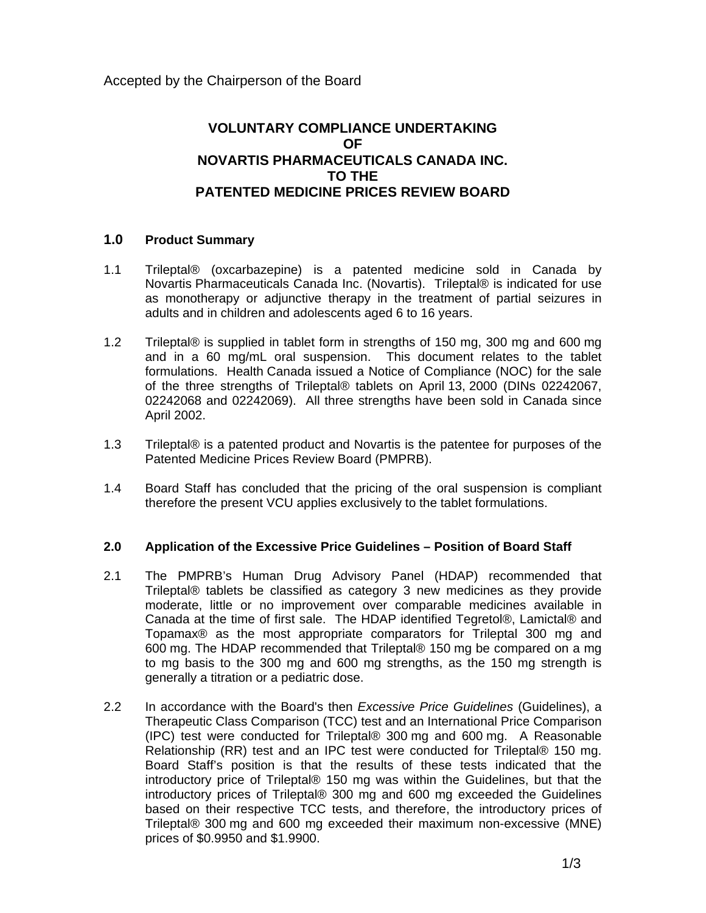# **VOLUNTARY COMPLIANCE UNDERTAKING OF NOVARTIS PHARMACEUTICALS CANADA INC. TO THE PATENTED MEDICINE PRICES REVIEW BOARD**

## **1.0 Product Summary**

- 1.1 Trileptal® (oxcarbazepine) is a patented medicine sold in Canada by Novartis Pharmaceuticals Canada Inc. (Novartis). Trileptal® is indicated for use as monotherapy or adjunctive therapy in the treatment of partial seizures in adults and in children and adolescents aged 6 to 16 years.
- 1.2 Trileptal® is supplied in tablet form in strengths of 150 mg, 300 mg and 600 mg and in a 60 mg/mL oral suspension. This document relates to the tablet formulations. Health Canada issued a Notice of Compliance (NOC) for the sale of the three strengths of Trileptal® tablets on April 13, 2000 (DINs 02242067, 02242068 and 02242069). All three strengths have been sold in Canada since April 2002.
- 1.3 Trileptal® is a patented product and Novartis is the patentee for purposes of the Patented Medicine Prices Review Board (PMPRB).
- 1.4 Board Staff has concluded that the pricing of the oral suspension is compliant therefore the present VCU applies exclusively to the tablet formulations.

## **2.0 Application of the Excessive Price Guidelines – Position of Board Staff**

- 2.1 The PMPRB's Human Drug Advisory Panel (HDAP) recommended that Trileptal® tablets be classified as category 3 new medicines as they provide moderate, little or no improvement over comparable medicines available in Canada at the time of first sale. The HDAP identified Tegretol®, Lamictal® and Topamax® as the most appropriate comparators for Trileptal 300 mg and 600 mg. The HDAP recommended that Trileptal® 150 mg be compared on a mg to mg basis to the 300 mg and 600 mg strengths, as the 150 mg strength is generally a titration or a pediatric dose.
- 2.2 In accordance with the Board's then *Excessive Price Guidelines* (Guidelines), a Therapeutic Class Comparison (TCC) test and an International Price Comparison (IPC) test were conducted for Trileptal® 300 mg and 600 mg. A Reasonable Relationship (RR) test and an IPC test were conducted for Trileptal® 150 mg. Board Staff's position is that the results of these tests indicated that the introductory price of Trileptal® 150 mg was within the Guidelines, but that the introductory prices of Trileptal® 300 mg and 600 mg exceeded the Guidelines based on their respective TCC tests, and therefore, the introductory prices of Trileptal® 300 mg and 600 mg exceeded their maximum non-excessive (MNE) prices of \$0.9950 and \$1.9900.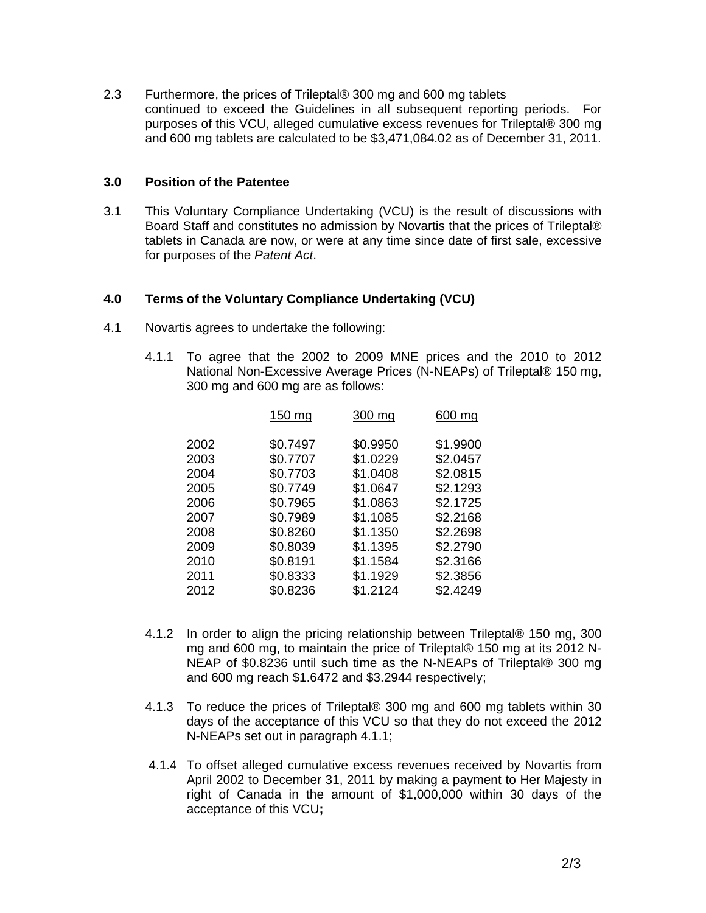2.3 Furthermore, the prices of Trileptal® 300 mg and 600 mg tablets continued to exceed the Guidelines in all subsequent reporting periods. For purposes of this VCU, alleged cumulative excess revenues for Trileptal® 300 mg and 600 mg tablets are calculated to be \$3,471,084.02 as of December 31, 2011.

#### **3.0 Position of the Patentee**

3.1 This Voluntary Compliance Undertaking (VCU) is the result of discussions with Board Staff and constitutes no admission by Novartis that the prices of Trileptal® tablets in Canada are now, or were at any time since date of first sale, excessive for purposes of the *Patent Act*.

### **4.0 Terms of the Voluntary Compliance Undertaking (VCU)**

- 4.1 Novartis agrees to undertake the following:
	- 4.1.1 To agree that the 2002 to 2009 MNE prices and the 2010 to 2012 National Non-Excessive Average Prices (N-NEAPs) of Trileptal® 150 mg, 300 mg and 600 mg are as follows:

|      | 150 mg   | 300 mg   | 600 mg   |
|------|----------|----------|----------|
| 2002 | \$0.7497 | \$0.9950 | \$1.9900 |
| 2003 | \$0.7707 | \$1.0229 | \$2.0457 |
| 2004 | \$0.7703 | \$1.0408 | \$2.0815 |
| 2005 | \$0.7749 | \$1.0647 | \$2.1293 |
| 2006 | \$0.7965 | \$1.0863 | \$2.1725 |
| 2007 | \$0.7989 | \$1.1085 | \$2.2168 |
| 2008 | \$0.8260 | \$1.1350 | \$2.2698 |
| 2009 | \$0.8039 | \$1.1395 | \$2.2790 |
| 2010 | \$0.8191 | \$1.1584 | \$2.3166 |
| 2011 | \$0.8333 | \$1.1929 | \$2.3856 |
| 2012 | \$0.8236 | \$1.2124 | \$2.4249 |
|      |          |          |          |

- 4.1.2 In order to align the pricing relationship between Trileptal® 150 mg, 300 mg and 600 mg, to maintain the price of Trileptal® 150 mg at its 2012 N-NEAP of \$0.8236 until such time as the N-NEAPs of Trileptal® 300 mg and 600 mg reach \$1.6472 and \$3.2944 respectively;
- 4.1.3 To reduce the prices of Trileptal® 300 mg and 600 mg tablets within 30 days of the acceptance of this VCU so that they do not exceed the 2012 N-NEAPs set out in paragraph 4.1.1;
- 4.1.4 To offset alleged cumulative excess revenues received by Novartis from April 2002 to December 31, 2011 by making a payment to Her Majesty in right of Canada in the amount of \$1,000,000 within 30 days of the acceptance of this VCU**;**